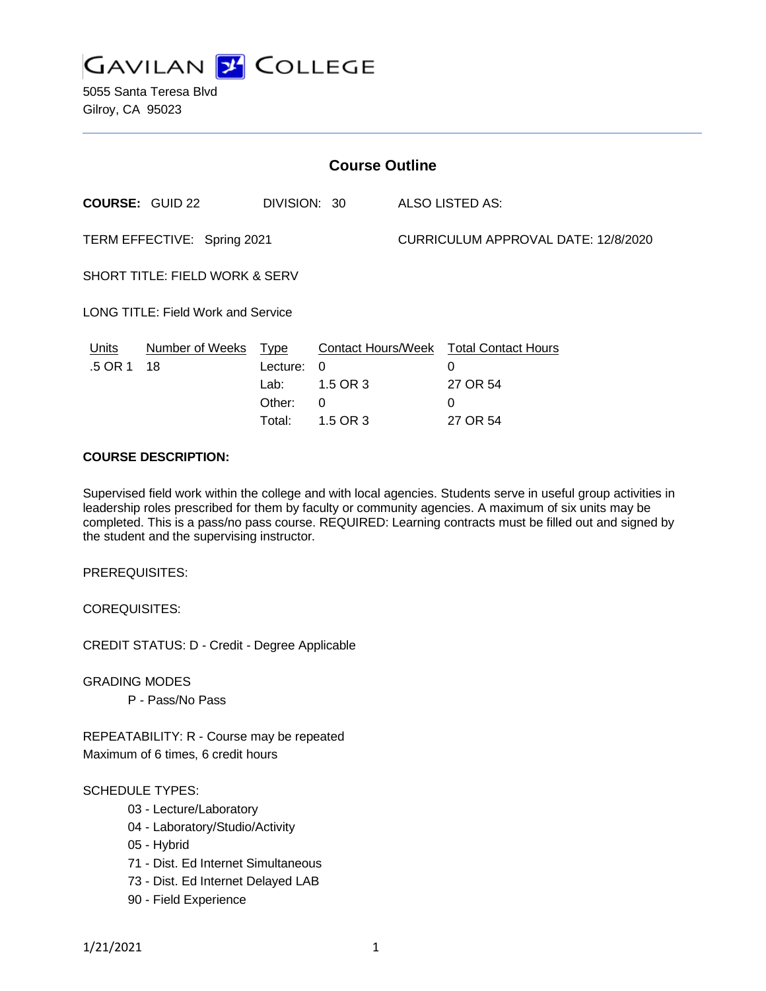

5055 Santa Teresa Blvd Gilroy, CA 95023

| <b>Course Outline</b>                     |                            |                                      |                                       |                                     |                                                                          |
|-------------------------------------------|----------------------------|--------------------------------------|---------------------------------------|-------------------------------------|--------------------------------------------------------------------------|
|                                           | <b>COURSE: GUID 22</b>     | DIVISION: 30                         |                                       |                                     | ALSO LISTED AS:                                                          |
| TERM EFFECTIVE: Spring 2021               |                            |                                      |                                       | CURRICULUM APPROVAL DATE: 12/8/2020 |                                                                          |
| <b>SHORT TITLE: FIELD WORK &amp; SERV</b> |                            |                                      |                                       |                                     |                                                                          |
| <b>LONG TITLE: Field Work and Service</b> |                            |                                      |                                       |                                     |                                                                          |
| Units<br>.5 OR 1                          | Number of Weeks Type<br>18 | Lecture:<br>Lab:<br>Other:<br>Total: | $\Omega$<br>1.5 OR 3<br>0<br>1.5 OR 3 |                                     | Contact Hours/Week Total Contact Hours<br>0<br>27 OR 54<br>0<br>27 OR 54 |

#### **COURSE DESCRIPTION:**

Supervised field work within the college and with local agencies. Students serve in useful group activities in leadership roles prescribed for them by faculty or community agencies. A maximum of six units may be completed. This is a pass/no pass course. REQUIRED: Learning contracts must be filled out and signed by the student and the supervising instructor.

PREREQUISITES:

COREQUISITES:

CREDIT STATUS: D - Credit - Degree Applicable

GRADING MODES

P - Pass/No Pass

REPEATABILITY: R - Course may be repeated Maximum of 6 times, 6 credit hours

#### SCHEDULE TYPES:

- 03 Lecture/Laboratory
- 04 Laboratory/Studio/Activity
- 05 Hybrid
- 71 Dist. Ed Internet Simultaneous
- 73 Dist. Ed Internet Delayed LAB
- 90 Field Experience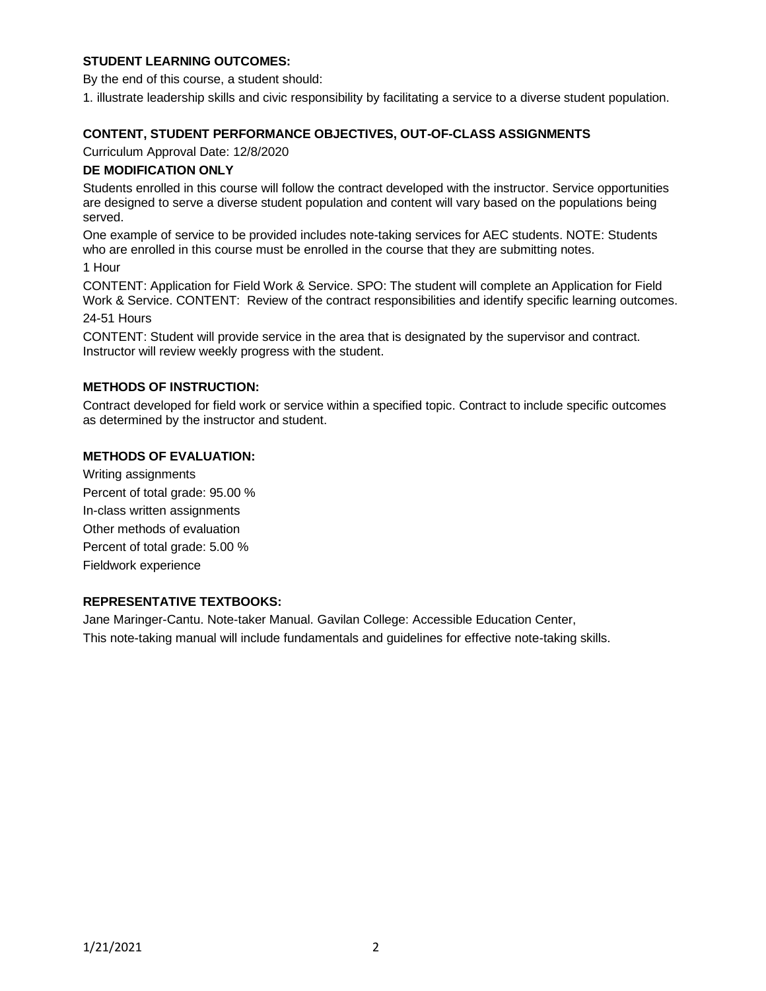# **STUDENT LEARNING OUTCOMES:**

By the end of this course, a student should:

1. illustrate leadership skills and civic responsibility by facilitating a service to a diverse student population.

## **CONTENT, STUDENT PERFORMANCE OBJECTIVES, OUT-OF-CLASS ASSIGNMENTS**

Curriculum Approval Date: 12/8/2020

#### **DE MODIFICATION ONLY**

Students enrolled in this course will follow the contract developed with the instructor. Service opportunities are designed to serve a diverse student population and content will vary based on the populations being served.

One example of service to be provided includes note-taking services for AEC students. NOTE: Students who are enrolled in this course must be enrolled in the course that they are submitting notes.

1 Hour

CONTENT: Application for Field Work & Service. SPO: The student will complete an Application for Field Work & Service. CONTENT: Review of the contract responsibilities and identify specific learning outcomes.

24-51 Hours

CONTENT: Student will provide service in the area that is designated by the supervisor and contract. Instructor will review weekly progress with the student.

## **METHODS OF INSTRUCTION:**

Contract developed for field work or service within a specified topic. Contract to include specific outcomes as determined by the instructor and student.

#### **METHODS OF EVALUATION:**

Writing assignments Percent of total grade: 95.00 % In-class written assignments Other methods of evaluation Percent of total grade: 5.00 % Fieldwork experience

## **REPRESENTATIVE TEXTBOOKS:**

Jane Maringer-Cantu. Note-taker Manual. Gavilan College: Accessible Education Center, This note-taking manual will include fundamentals and guidelines for effective note-taking skills.